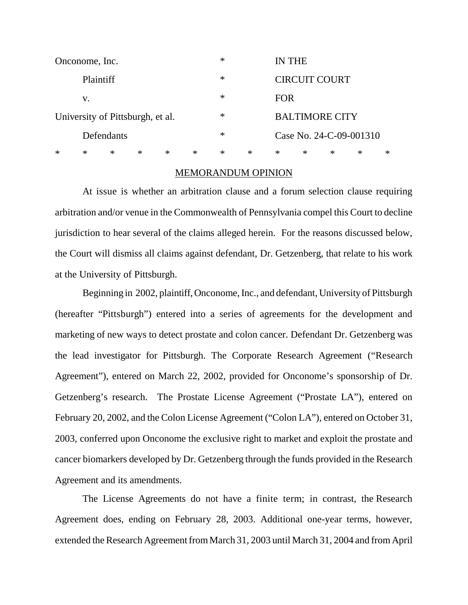| Onconome, Inc.                   |            |        |        |        |        | $\ast$ |        | IN THE                  |   |        |   |   |
|----------------------------------|------------|--------|--------|--------|--------|--------|--------|-------------------------|---|--------|---|---|
|                                  | Plaintiff  |        |        |        |        |        |        | <b>CIRCUIT COURT</b>    |   |        |   |   |
| V.                               |            |        |        |        |        | $\ast$ |        | <b>FOR</b>              |   |        |   |   |
| University of Pittsburgh, et al. |            |        |        |        |        | $\ast$ |        | <b>BALTIMORE CITY</b>   |   |        |   |   |
|                                  | Defendants |        |        |        |        |        |        | Case No. 24-C-09-001310 |   |        |   |   |
| $\ast$                           | $\ast$     | $\ast$ | $\ast$ | $\ast$ | $\ast$ | $\ast$ | $\ast$ | ∗                       | ∗ | $\ast$ | ∗ | ∗ |

## MEMORANDUM OPINION

At issue is whether an arbitration clause and a forum selection clause requiring arbitration and/or venue in the Commonwealth of Pennsylvania compel this Court to decline jurisdiction to hear several of the claims alleged herein. For the reasons discussed below, the Court will dismiss all claims against defendant, Dr. Getzenberg, that relate to his work at the University of Pittsburgh.

Beginning in 2002, plaintiff, Onconome, Inc., and defendant, University of Pittsburgh (hereafter "Pittsburgh") entered into a series of agreements for the development and marketing of new ways to detect prostate and colon cancer. Defendant Dr. Getzenberg was the lead investigator for Pittsburgh. The Corporate Research Agreement ("Research Agreement"), entered on March 22, 2002, provided for Onconome's sponsorship of Dr. Getzenberg's research. The Prostate License Agreement ("Prostate LA"), entered on February 20, 2002, and the Colon License Agreement ("Colon LA"), entered on October 31, 2003, conferred upon Onconome the exclusive right to market and exploit the prostate and cancer biomarkers developed by Dr. Getzenberg through the funds provided in the Research Agreement and its amendments.

The License Agreements do not have a finite term; in contrast, the Research Agreement does, ending on February 28, 2003. Additional one-year terms, however, extended the Research Agreement from March 31, 2003 until March 31, 2004 and from April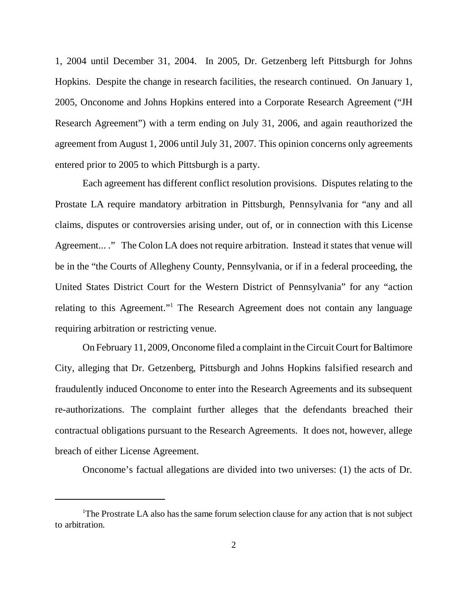1, 2004 until December 31, 2004. In 2005, Dr. Getzenberg left Pittsburgh for Johns Hopkins. Despite the change in research facilities, the research continued. On January 1, 2005, Onconome and Johns Hopkins entered into a Corporate Research Agreement ("JH Research Agreement") with a term ending on July 31, 2006, and again reauthorized the agreement from August 1, 2006 until July 31, 2007. This opinion concerns only agreements entered prior to 2005 to which Pittsburgh is a party.

Each agreement has different conflict resolution provisions. Disputes relating to the Prostate LA require mandatory arbitration in Pittsburgh, Pennsylvania for "any and all claims, disputes or controversies arising under, out of, or in connection with this License Agreement... ." The Colon LA does not require arbitration. Instead it states that venue will be in the "the Courts of Allegheny County, Pennsylvania, or if in a federal proceeding, the United States District Court for the Western District of Pennsylvania" for any "action relating to this Agreement."<sup>1</sup> The Research Agreement does not contain any language requiring arbitration or restricting venue.

On February 11, 2009, Onconome filed a complaint in the Circuit Court for Baltimore City, alleging that Dr. Getzenberg, Pittsburgh and Johns Hopkins falsified research and fraudulently induced Onconome to enter into the Research Agreements and its subsequent re-authorizations. The complaint further alleges that the defendants breached their contractual obligations pursuant to the Research Agreements. It does not, however, allege breach of either License Agreement.

Onconome's factual allegations are divided into two universes: (1) the acts of Dr.

<sup>&</sup>lt;sup>1</sup>The Prostrate LA also has the same forum selection clause for any action that is not subject to arbitration.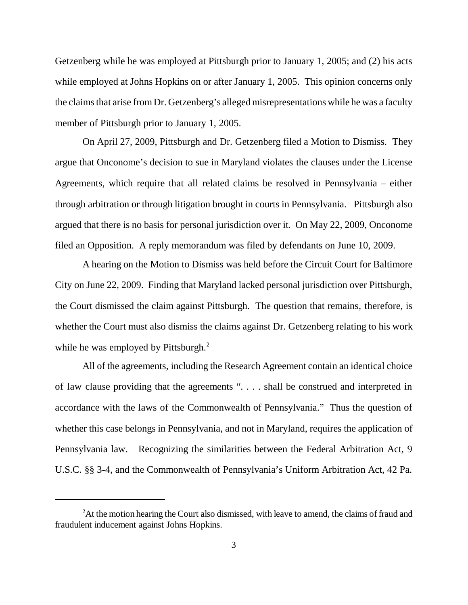Getzenberg while he was employed at Pittsburgh prior to January 1, 2005; and (2) his acts while employed at Johns Hopkins on or after January 1, 2005. This opinion concerns only the claims that arise from Dr. Getzenberg's alleged misrepresentations while he was a faculty member of Pittsburgh prior to January 1, 2005.

On April 27, 2009, Pittsburgh and Dr. Getzenberg filed a Motion to Dismiss. They argue that Onconome's decision to sue in Maryland violates the clauses under the License Agreements, which require that all related claims be resolved in Pennsylvania – either through arbitration or through litigation brought in courts in Pennsylvania. Pittsburgh also argued that there is no basis for personal jurisdiction over it. On May 22, 2009, Onconome filed an Opposition. A reply memorandum was filed by defendants on June 10, 2009.

A hearing on the Motion to Dismiss was held before the Circuit Court for Baltimore City on June 22, 2009. Finding that Maryland lacked personal jurisdiction over Pittsburgh, the Court dismissed the claim against Pittsburgh. The question that remains, therefore, is whether the Court must also dismiss the claims against Dr. Getzenberg relating to his work while he was employed by Pittsburgh.<sup>2</sup>

All of the agreements, including the Research Agreement contain an identical choice of law clause providing that the agreements ". . . . shall be construed and interpreted in accordance with the laws of the Commonwealth of Pennsylvania." Thus the question of whether this case belongs in Pennsylvania, and not in Maryland, requires the application of Pennsylvania law. Recognizing the similarities between the Federal Arbitration Act, 9 U.S.C. §§ 3-4, and the Commonwealth of Pennsylvania's Uniform Arbitration Act, 42 Pa.

<sup>&</sup>lt;sup>2</sup>At the motion hearing the Court also dismissed, with leave to amend, the claims of fraud and fraudulent inducement against Johns Hopkins.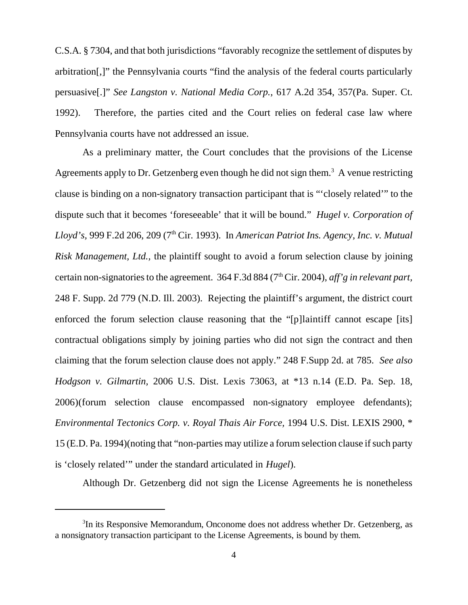C.S.A. § 7304, and that both jurisdictions "favorably recognize the settlement of disputes by arbitration[,]" the Pennsylvania courts "find the analysis of the federal courts particularly persuasive[.]" *See Langston v. National Media Corp.,* 617 A.2d 354, 357(Pa. Super. Ct. 1992). Therefore, the parties cited and the Court relies on federal case law where Pennsylvania courts have not addressed an issue.

As a preliminary matter, the Court concludes that the provisions of the License Agreements apply to Dr. Getzenberg even though he did not sign them.<sup>3</sup> A venue restricting clause is binding on a non-signatory transaction participant that is "'closely related'" to the dispute such that it becomes 'foreseeable' that it will be bound." *Hugel v. Corporation of Lloyd's,* 999 F.2d 206, 209 (7th Cir. 1993). In *American Patriot Ins. Agency, Inc. v. Mutual Risk Management, Ltd.,* the plaintiff sought to avoid a forum selection clause by joining certain non-signatoriesto the agreement. 364 F.3d 884 (7th Cir. 2004), *aff'g in relevant part,* 248 F. Supp. 2d 779 (N.D. Ill. 2003). Rejecting the plaintiff's argument, the district court enforced the forum selection clause reasoning that the "[p]laintiff cannot escape [its] contractual obligations simply by joining parties who did not sign the contract and then claiming that the forum selection clause does not apply." 248 F.Supp 2d. at 785. *See also Hodgson v. Gilmartin,* 2006 U.S. Dist. Lexis 73063, at \*13 n.14 (E.D. Pa. Sep. 18, 2006)(forum selection clause encompassed non-signatory employee defendants); *Environmental Tectonics Corp. v. Royal Thais Air Force,* 1994 U.S. Dist. LEXIS 2900, \* 15 (E.D. Pa. 1994) (noting that "non-parties may utilize a forum selection clause if such party is 'closely related'" under the standard articulated in *Hugel*).

Although Dr. Getzenberg did not sign the License Agreements he is nonetheless

<sup>&</sup>lt;sup>3</sup>In its Responsive Memorandum, Onconome does not address whether Dr. Getzenberg, as a nonsignatory transaction participant to the License Agreements, is bound by them.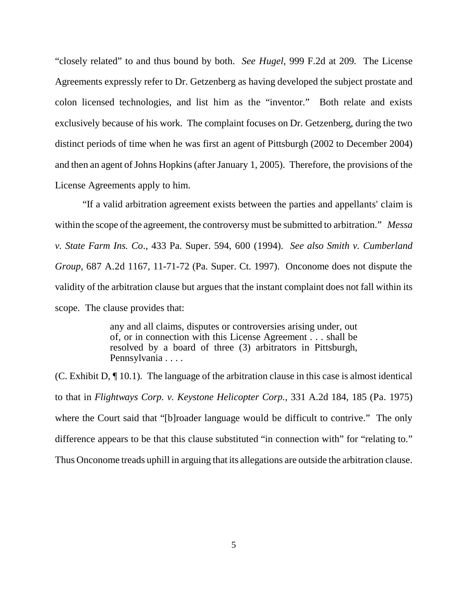"closely related" to and thus bound by both. *See Hugel,* 999 F.2d at 209*.* The License Agreements expressly refer to Dr. Getzenberg as having developed the subject prostate and colon licensed technologies, and list him as the "inventor." Both relate and exists exclusively because of his work. The complaint focuses on Dr. Getzenberg, during the two distinct periods of time when he was first an agent of Pittsburgh (2002 to December 2004) and then an agent of Johns Hopkins (after January 1, 2005). Therefore, the provisions of the License Agreements apply to him.

"If a valid arbitration agreement exists between the parties and appellants' claim is within the scope of the agreement, the controversy must be submitted to arbitration." *Messa v. State Farm Ins. Co*., 433 Pa. Super. 594, 600 (1994). *See also Smith v. Cumberland Group,* 687 A.2d 1167, 11-71-72 (Pa. Super. Ct. 1997). Onconome does not dispute the validity of the arbitration clause but argues that the instant complaint does not fall within its scope. The clause provides that:

> any and all claims, disputes or controversies arising under, out of, or in connection with this License Agreement . . . shall be resolved by a board of three (3) arbitrators in Pittsburgh, Pennsylvania . . . .

(C. Exhibit D, ¶ 10.1). The language of the arbitration clause in this case is almost identical to that in *Flightways Corp. v. Keystone Helicopter Corp.,* 331 A.2d 184, 185 (Pa. 1975) where the Court said that "[b]roader language would be difficult to contrive." The only difference appears to be that this clause substituted "in connection with" for "relating to." Thus Onconome treads uphill in arguing that its allegations are outside the arbitration clause.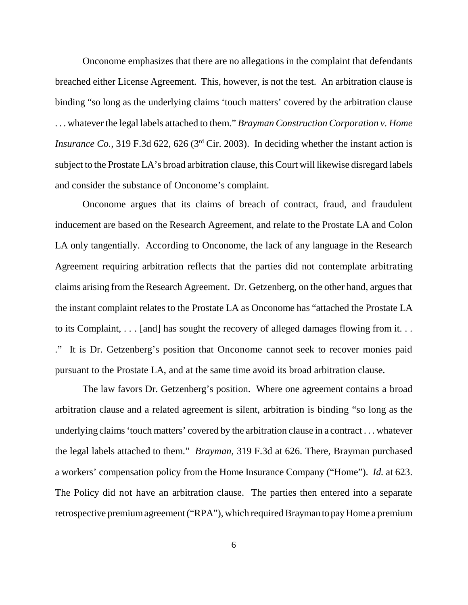Onconome emphasizes that there are no allegations in the complaint that defendants breached either License Agreement. This, however, is not the test. An arbitration clause is binding "so long as the underlying claims 'touch matters' covered by the arbitration clause . . . whatever the legal labels attached to them." *Brayman Construction Corporation v. Home Insurance Co.*, 319 F.3d 622, 626 (3<sup>rd</sup> Cir. 2003). In deciding whether the instant action is subject to the Prostate LA's broad arbitration clause, this Court will likewise disregard labels and consider the substance of Onconome's complaint.

Onconome argues that its claims of breach of contract, fraud, and fraudulent inducement are based on the Research Agreement, and relate to the Prostate LA and Colon LA only tangentially. According to Onconome, the lack of any language in the Research Agreement requiring arbitration reflects that the parties did not contemplate arbitrating claims arising from the Research Agreement. Dr. Getzenberg, on the other hand, argues that the instant complaint relates to the Prostate LA as Onconome has "attached the Prostate LA to its Complaint, . . . [and] has sought the recovery of alleged damages flowing from it. . . ." It is Dr. Getzenberg's position that Onconome cannot seek to recover monies paid pursuant to the Prostate LA, and at the same time avoid its broad arbitration clause.

The law favors Dr. Getzenberg's position. Where one agreement contains a broad arbitration clause and a related agreement is silent, arbitration is binding "so long as the underlying claims'touch matters' covered by the arbitration clause in a contract . . . whatever the legal labels attached to them." *Brayman,* 319 F.3d at 626. There, Brayman purchased a workers' compensation policy from the Home Insurance Company ("Home"). *Id.* at 623. The Policy did not have an arbitration clause. The parties then entered into a separate retrospective premium agreement ("RPA"), which required Brayman to pay Home a premium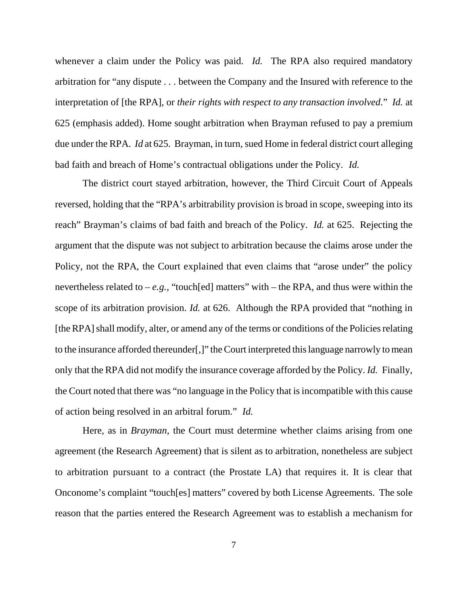whenever a claim under the Policy was paid. *Id.* The RPA also required mandatory arbitration for "any dispute . . . between the Company and the Insured with reference to the interpretation of [the RPA], or *their rights with respect to any transaction involved*." *Id.* at 625 (emphasis added). Home sought arbitration when Brayman refused to pay a premium due under the RPA. *Id* at 625*.* Brayman, in turn, sued Home in federal district court alleging bad faith and breach of Home's contractual obligations under the Policy. *Id.*

The district court stayed arbitration, however, the Third Circuit Court of Appeals reversed, holding that the "RPA's arbitrability provision is broad in scope, sweeping into its reach" Brayman's claims of bad faith and breach of the Policy. *Id.* at 625. Rejecting the argument that the dispute was not subject to arbitration because the claims arose under the Policy, not the RPA, the Court explained that even claims that "arose under" the policy nevertheless related to  $-e.g.,$  "touch[ed] matters" with  $-$  the RPA, and thus were within the scope of its arbitration provision. *Id.* at 626. Although the RPA provided that "nothing in [the RPA] shall modify, alter, or amend any of the terms or conditions of the Policies relating to the insurance afforded thereunder[,]" theCourt interpreted thislanguage narrowly tomean only that the RPA did not modify the insurance coverage afforded by the Policy. *Id.* Finally, the Court noted that there was "no language in the Policy that is incompatible with this cause of action being resolved in an arbitral forum." *Id.* 

Here, as in *Brayman,* the Court must determine whether claims arising from one agreement (the Research Agreement) that is silent as to arbitration, nonetheless are subject to arbitration pursuant to a contract (the Prostate LA) that requires it. It is clear that Onconome's complaint "touch[es] matters" covered by both License Agreements. The sole reason that the parties entered the Research Agreement was to establish a mechanism for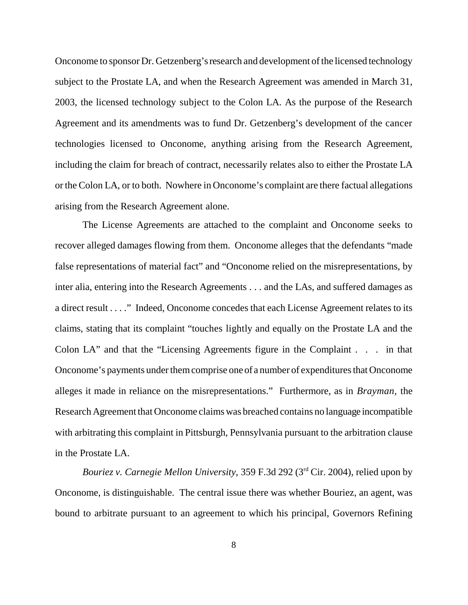Onconome to sponsor Dr. Getzenberg's research and development of the licensed technology subject to the Prostate LA, and when the Research Agreement was amended in March 31, 2003, the licensed technology subject to the Colon LA. As the purpose of the Research Agreement and its amendments was to fund Dr. Getzenberg's development of the cancer technologies licensed to Onconome, anything arising from the Research Agreement, including the claim for breach of contract, necessarily relates also to either the Prostate LA or the Colon LA, or to both. Nowhere in Onconome's complaint are there factual allegations arising from the Research Agreement alone.

The License Agreements are attached to the complaint and Onconome seeks to recover alleged damages flowing from them. Onconome alleges that the defendants "made false representations of material fact" and "Onconome relied on the misrepresentations, by inter alia, entering into the Research Agreements . . . and the LAs, and suffered damages as a direct result . . . ." Indeed, Onconome concedes that each License Agreement relates to its claims, stating that its complaint "touches lightly and equally on the Prostate LA and the Colon LA" and that the "Licensing Agreements figure in the Complaint . . . in that Onconome's payments under them comprise one of a number of expenditures that Onconome alleges it made in reliance on the misrepresentations." Furthermore, as in *Brayman,* the Research Agreement that Onconome claims was breached contains no language incompatible with arbitrating this complaint in Pittsburgh, Pennsylvania pursuant to the arbitration clause in the Prostate LA.

*Bouriez v. Carnegie Mellon University,* 359 F.3d 292 (3rd Cir. 2004), relied upon by Onconome, is distinguishable. The central issue there was whether Bouriez, an agent, was bound to arbitrate pursuant to an agreement to which his principal, Governors Refining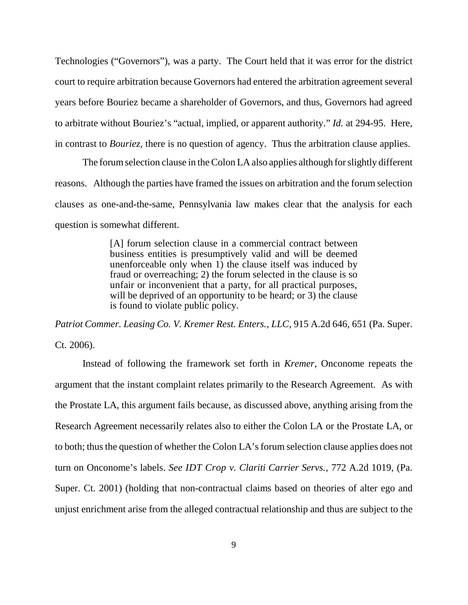Technologies ("Governors"), was a party. The Court held that it was error for the district court to require arbitration because Governors had entered the arbitration agreement several years before Bouriez became a shareholder of Governors, and thus, Governors had agreed to arbitrate without Bouriez's "actual, implied, or apparent authority." *Id.* at 294-95. Here, in contrast to *Bouriez,* there is no question of agency. Thus the arbitration clause applies.

The forumselection clause in the Colon LA also applies although forslightly different reasons. Although the parties have framed the issues on arbitration and the forum selection clauses as one-and-the-same, Pennsylvania law makes clear that the analysis for each question is somewhat different.

> [A] forum selection clause in a commercial contract between business entities is presumptively valid and will be deemed unenforceable only when 1) the clause itself was induced by fraud or overreaching; 2) the forum selected in the clause is so unfair or inconvenient that a party, for all practical purposes, will be deprived of an opportunity to be heard; or 3) the clause is found to violate public policy.

*Patriot Commer. Leasing Co. V. Kremer Rest. Enters., LLC*, 915 A.2d 646, 651 (Pa. Super. Ct. 2006).

Instead of following the framework set forth in *Kremer*, Onconome repeats the argument that the instant complaint relates primarily to the Research Agreement. As with the Prostate LA, this argument fails because, as discussed above, anything arising from the Research Agreement necessarily relates also to either the Colon LA or the Prostate LA, or to both; thus the question of whether the Colon LA's forum selection clause applies does not turn on Onconome's labels. *See IDT Crop v. Clariti Carrier Servs.,* 772 A.2d 1019, (Pa. Super. Ct. 2001) (holding that non-contractual claims based on theories of alter ego and unjust enrichment arise from the alleged contractual relationship and thus are subject to the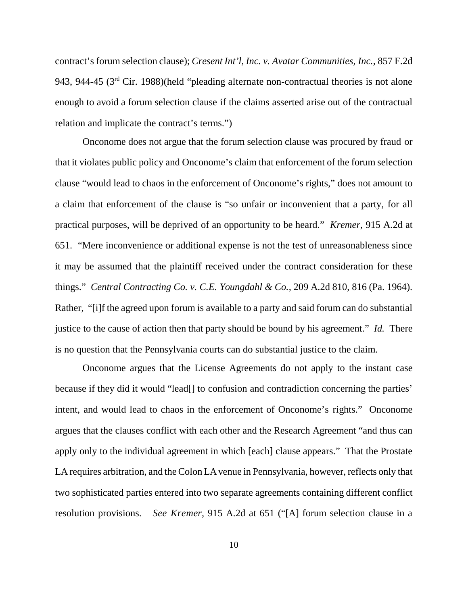contract's forum selection clause); *Cresent Int'l, Inc. v. Avatar Communities, Inc.,* 857 F.2d 943, 944-45 (3rd Cir. 1988)(held "pleading alternate non-contractual theories is not alone enough to avoid a forum selection clause if the claims asserted arise out of the contractual relation and implicate the contract's terms.")

Onconome does not argue that the forum selection clause was procured by fraud or that it violates public policy and Onconome's claim that enforcement of the forum selection clause "would lead to chaos in the enforcement of Onconome's rights," does not amount to a claim that enforcement of the clause is "so unfair or inconvenient that a party, for all practical purposes, will be deprived of an opportunity to be heard." *Kremer,* 915 A.2d at 651. "Mere inconvenience or additional expense is not the test of unreasonableness since it may be assumed that the plaintiff received under the contract consideration for these things." *Central Contracting Co. v. C.E. Youngdahl & Co.,* 209 A.2d 810, 816 (Pa. 1964). Rather, "[i]f the agreed upon forum is available to a party and said forum can do substantial justice to the cause of action then that party should be bound by his agreement." *Id.* There is no question that the Pennsylvania courts can do substantial justice to the claim.

Onconome argues that the License Agreements do not apply to the instant case because if they did it would "lead[] to confusion and contradiction concerning the parties' intent, and would lead to chaos in the enforcement of Onconome's rights." Onconome argues that the clauses conflict with each other and the Research Agreement "and thus can apply only to the individual agreement in which [each] clause appears." That the Prostate LA requires arbitration, and the Colon LA venue in Pennsylvania, however, reflects only that two sophisticated parties entered into two separate agreements containing different conflict resolution provisions. *See Kremer*, 915 A.2d at 651 ("[A] forum selection clause in a